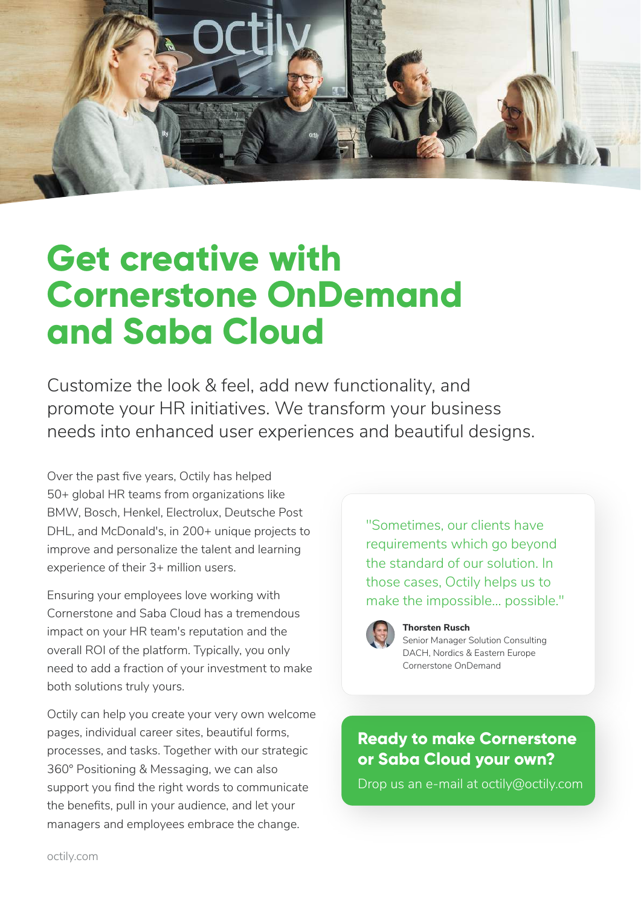

## **Get creative with Cornerstone OnDemand and Saba Cloud**

Customize the look & feel, add new functionality, and promote your HR initiatives. We transform your business needs into enhanced user experiences and beautiful designs.

Over the past five years, Octily has helped 50+ global HR teams from organizations like BMW, Bosch, Henkel, Electrolux, Deutsche Post DHL, and McDonald's, in 200+ unique projects to improve and personalize the talent and learning experience of their 3+ million users.

Ensuring your employees love working with Cornerstone and Saba Cloud has a tremendous impact on your HR team's reputation and the overall ROI of the platform. Typically, you only need to add a fraction of your investment to make both solutions truly yours.

Octily can help you create your very own welcome pages, individual career sites, beautiful forms, processes, and tasks. Together with our strategic 360° Positioning & Messaging, we can also support you find the right words to communicate the benefits, pull in your audience, and let your managers and employees embrace the change.

"Sometimes, our clients have requirements which go beyond the standard of our solution. In those cases, Octily helps us to make the impossible… possible."



### **Thorsten Rusch**

Senior Manager Solution Consulting DACH, Nordics & Eastern Europe Cornerstone OnDemand

### **Ready to make Cornerstone or Saba Cloud your own?**

Drop us an e-mail at octily@octily.com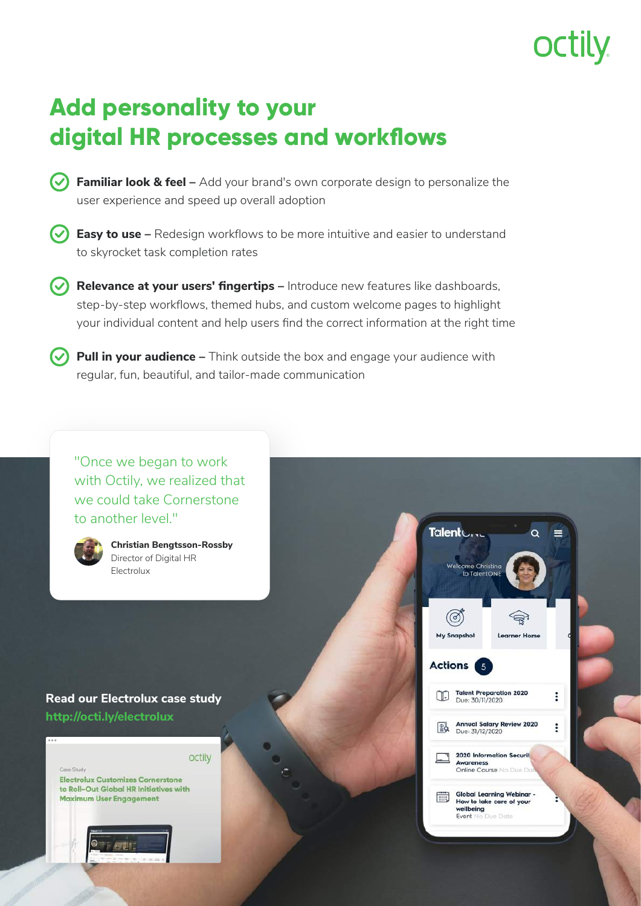### **Add personality to your digital HR processes and workflows**

**Familiar look & feel –** Add your brand's own corporate design to personalize the user experience and speed up overall adoption

**Easy to use –** Redesign workflows to be more intuitive and easier to understand to skyrocket task completion rates

**Relevance at your users' fingertips –** Introduce new features like dashboards, step-by-step workflows, themed hubs, and custom welcome pages to highlight your individual content and help users find the correct information at the right time

**Pull in your audience –** Think outside the box and engage your audience with regular, fun, beautiful, and tailor-made communication

"Once we began to work with Octily, we realized that we could take Cornerstone to another level."



**Christian Bengtsson-Rossby** Director of Digital HR Electrolux

### **Read our Electrolux case study http://octi.ly/electrolux**





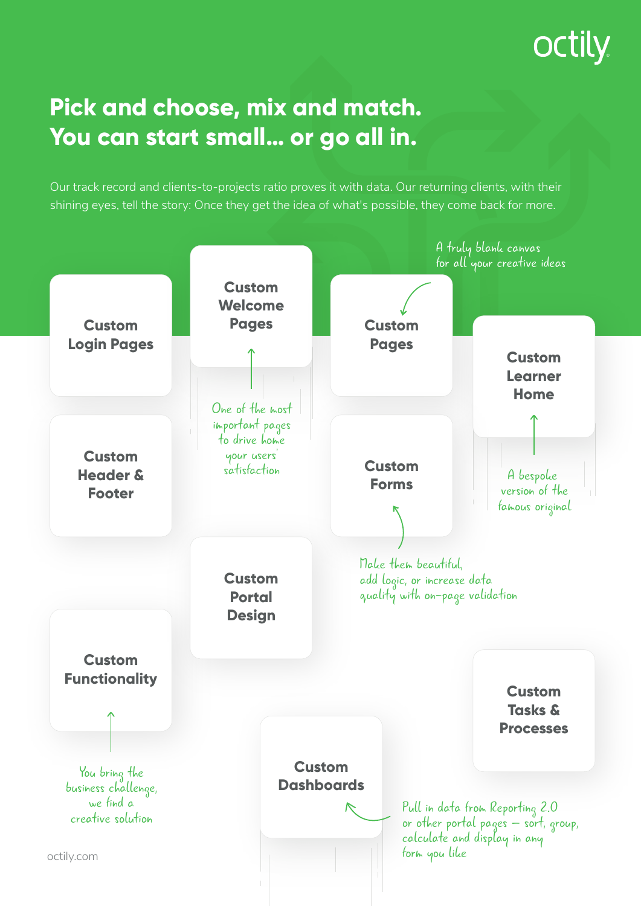## **OCTILY**

## **Pick and choose, mix and match. You can start small… or go all in.**

Our track record and clients-to-projects ratio proves it with data. Our returning clients, with their shining eyes, tell the story: Once they get the idea of what's possible, they come back for more.